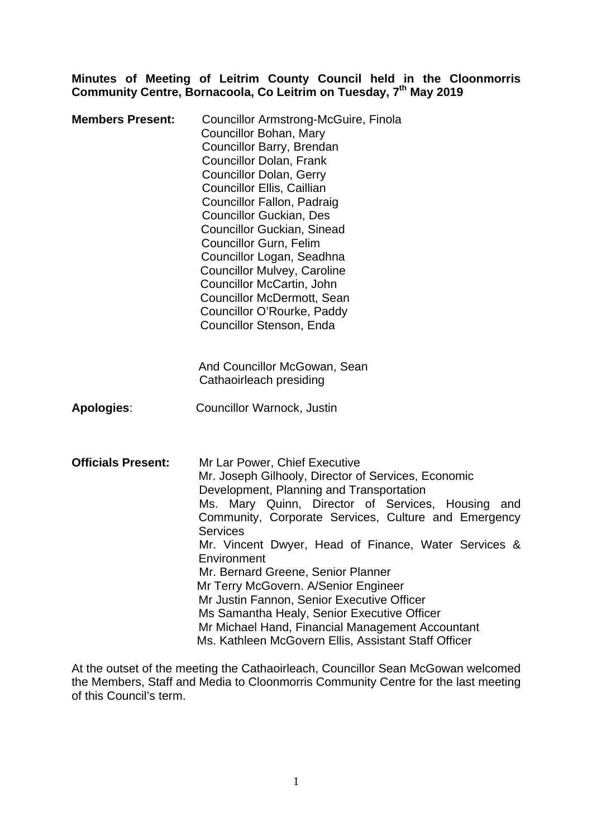### **Minutes of Meeting of Leitrim County Council held in the Cloonmorris Community Centre, Bornacoola, Co Leitrim on Tuesday, 7th May 2019**

| <b>Members Present:</b>   | Councillor Armstrong-McGuire, Finola<br>Councillor Bohan, Mary<br>Councillor Barry, Brendan<br><b>Councillor Dolan, Frank</b><br><b>Councillor Dolan, Gerry</b><br>Councillor Ellis, Caillian<br><b>Councillor Fallon, Padraig</b><br><b>Councillor Guckian, Des</b><br><b>Councillor Guckian, Sinead</b><br>Councillor Gurn, Felim<br>Councillor Logan, Seadhna<br><b>Councillor Mulvey, Caroline</b><br>Councillor McCartin, John<br>Councillor McDermott, Sean<br>Councillor O'Rourke, Paddy<br>Councillor Stenson, Enda                                                                                                       |
|---------------------------|-----------------------------------------------------------------------------------------------------------------------------------------------------------------------------------------------------------------------------------------------------------------------------------------------------------------------------------------------------------------------------------------------------------------------------------------------------------------------------------------------------------------------------------------------------------------------------------------------------------------------------------|
|                           | And Councillor McGowan, Sean<br>Cathaoirleach presiding                                                                                                                                                                                                                                                                                                                                                                                                                                                                                                                                                                           |
| <b>Apologies:</b>         | <b>Councillor Warnock, Justin</b>                                                                                                                                                                                                                                                                                                                                                                                                                                                                                                                                                                                                 |
| <b>Officials Present:</b> | Mr Lar Power, Chief Executive<br>Mr. Joseph Gilhooly, Director of Services, Economic<br>Development, Planning and Transportation<br>Ms. Mary Quinn, Director of Services, Housing<br>and<br>Community, Corporate Services, Culture and Emergency<br><b>Services</b><br>Mr. Vincent Dwyer, Head of Finance, Water Services &<br>Environment<br>Mr. Bernard Greene, Senior Planner<br>Mr Terry McGovern. A/Senior Engineer<br>Mr Justin Fannon, Senior Executive Officer<br>Ms Samantha Healy, Senior Executive Officer<br>Mr Michael Hand, Financial Management Accountant<br>Ms. Kathleen McGovern Ellis, Assistant Staff Officer |

At the outset of the meeting the Cathaoirleach, Councillor Sean McGowan welcomed the Members, Staff and Media to Cloonmorris Community Centre for the last meeting of this Council's term.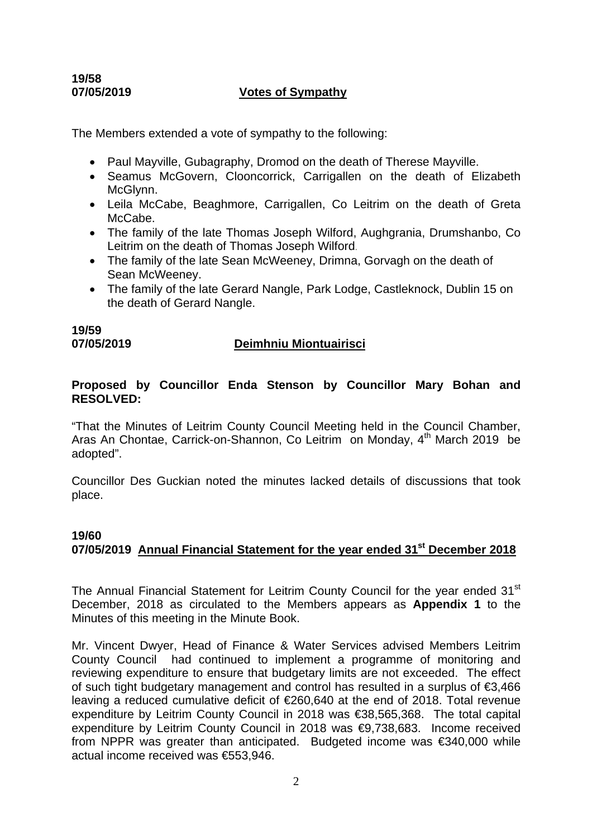## **19/58**

## **07/05/2019 Votes of Sympathy**

The Members extended a vote of sympathy to the following:

- Paul Mayville, Gubagraphy, Dromod on the death of Therese Mayville.
- Seamus McGovern, Clooncorrick, Carrigallen on the death of Elizabeth McGlynn.
- Leila McCabe, Beaghmore, Carrigallen, Co Leitrim on the death of Greta McCabe.
- The family of the late Thomas Joseph Wilford, Aughgrania, Drumshanbo, Co Leitrim on the death of Thomas Joseph Wilford.
- The family of the late Sean McWeeney, Drimna, Gorvagh on the death of Sean McWeeney.
- The family of the late Gerard Nangle, Park Lodge, Castleknock, Dublin 15 on the death of Gerard Nangle.

**19/59** 

#### **07/05/2019 Deimhniu Miontuairisci**

## **Proposed by Councillor Enda Stenson by Councillor Mary Bohan and RESOLVED:**

"That the Minutes of Leitrim County Council Meeting held in the Council Chamber, Aras An Chontae, Carrick-on-Shannon, Co Leitrim on Monday, 4<sup>th</sup> March 2019 be adopted".

Councillor Des Guckian noted the minutes lacked details of discussions that took place.

## **19/60**

## **07/05/2019 Annual Financial Statement for the year ended 31st December 2018**

The Annual Financial Statement for Leitrim County Council for the year ended 31<sup>st</sup> December, 2018 as circulated to the Members appears as **Appendix 1** to the Minutes of this meeting in the Minute Book.

Mr. Vincent Dwyer, Head of Finance & Water Services advised Members Leitrim County Council had continued to implement a programme of monitoring and reviewing expenditure to ensure that budgetary limits are not exceeded. The effect of such tight budgetary management and control has resulted in a surplus of €3,466 leaving a reduced cumulative deficit of €260,640 at the end of 2018. Total revenue expenditure by Leitrim County Council in 2018 was €38,565,368. The total capital expenditure by Leitrim County Council in 2018 was €9,738,683. Income received from NPPR was greater than anticipated. Budgeted income was €340,000 while actual income received was €553,946.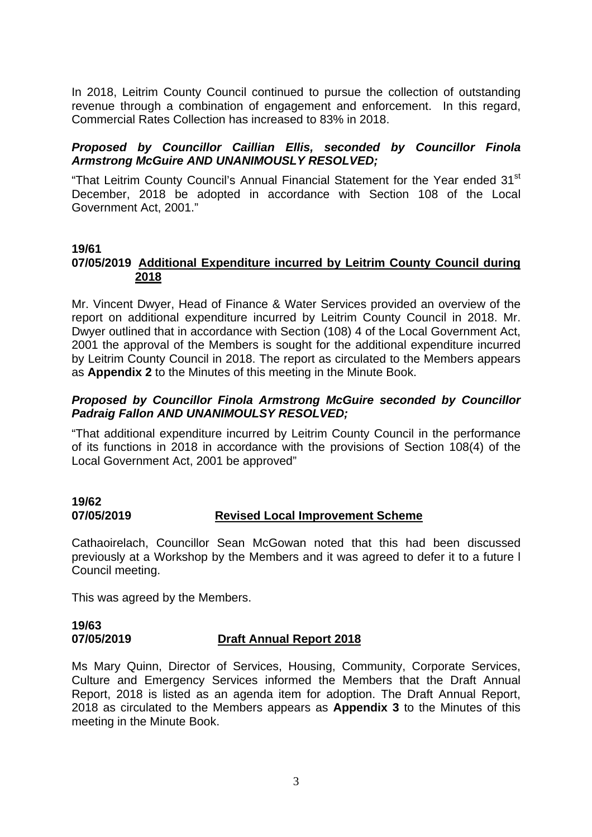In 2018, Leitrim County Council continued to pursue the collection of outstanding revenue through a combination of engagement and enforcement. In this regard, Commercial Rates Collection has increased to 83% in 2018.

## *Proposed by Councillor Caillian Ellis, seconded by Councillor Finola Armstrong McGuire AND UNANIMOUSLY RESOLVED;*

"That Leitrim County Council's Annual Financial Statement for the Year ended 31<sup>st</sup> December, 2018 be adopted in accordance with Section 108 of the Local Government Act, 2001."

## **19/61**

## **07/05/2019 Additional Expenditure incurred by Leitrim County Council during 2018**

Mr. Vincent Dwyer, Head of Finance & Water Services provided an overview of the report on additional expenditure incurred by Leitrim County Council in 2018. Mr. Dwyer outlined that in accordance with Section (108) 4 of the Local Government Act, 2001 the approval of the Members is sought for the additional expenditure incurred by Leitrim County Council in 2018. The report as circulated to the Members appears as **Appendix 2** to the Minutes of this meeting in the Minute Book.

## *Proposed by Councillor Finola Armstrong McGuire seconded by Councillor Padraig Fallon AND UNANIMOULSY RESOLVED;*

"That additional expenditure incurred by Leitrim County Council in the performance of its functions in 2018 in accordance with the provisions of Section 108(4) of the Local Government Act, 2001 be approved"

## **19/62 07/05/2019 Revised Local Improvement Scheme**

Cathaoirelach, Councillor Sean McGowan noted that this had been discussed previously at a Workshop by the Members and it was agreed to defer it to a future l Council meeting.

This was agreed by the Members.

#### **19/63 07/05/2019 Draft Annual Report 2018**

Ms Mary Quinn, Director of Services, Housing, Community, Corporate Services, Culture and Emergency Services informed the Members that the Draft Annual Report, 2018 is listed as an agenda item for adoption. The Draft Annual Report, 2018 as circulated to the Members appears as **Appendix 3** to the Minutes of this meeting in the Minute Book.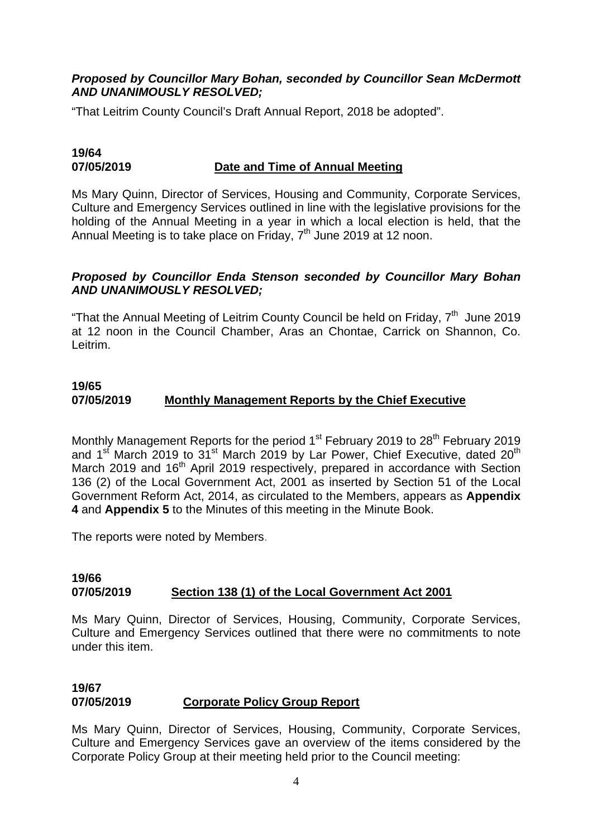## *Proposed by Councillor Mary Bohan, seconded by Councillor Sean McDermott AND UNANIMOUSLY RESOLVED;*

"That Leitrim County Council's Draft Annual Report, 2018 be adopted".

## **19/64 07/05/2019 Date and Time of Annual Meeting**

Ms Mary Quinn, Director of Services, Housing and Community, Corporate Services, Culture and Emergency Services outlined in line with the legislative provisions for the holding of the Annual Meeting in a year in which a local election is held, that the Annual Meeting is to take place on Friday, 7<sup>th</sup> June 2019 at 12 noon.

## *Proposed by Councillor Enda Stenson seconded by Councillor Mary Bohan AND UNANIMOUSLY RESOLVED;*

"That the Annual Meeting of Leitrim County Council be held on Friday, 7<sup>th</sup> June 2019 at 12 noon in the Council Chamber, Aras an Chontae, Carrick on Shannon, Co. Leitrim.

## **19/65 07/05/2019 Monthly Management Reports by the Chief Executive**

Monthly Management Reports for the period  $1<sup>st</sup>$  February 2019 to 28<sup>th</sup> February 2019 and 1st March 2019 to  $31^{st}$  March 2019 by Lar Power. Chief Executive, dated 20<sup>th</sup> March 2019 and 16<sup>th</sup> April 2019 respectively, prepared in accordance with Section 136 (2) of the Local Government Act, 2001 as inserted by Section 51 of the Local Government Reform Act, 2014, as circulated to the Members, appears as **Appendix 4** and **Appendix 5** to the Minutes of this meeting in the Minute Book.

The reports were noted by Members.

#### **19/66 07/05/2019 Section 138 (1) of the Local Government Act 2001**

Ms Mary Quinn, Director of Services, Housing, Community, Corporate Services, Culture and Emergency Services outlined that there were no commitments to note under this item.

## **19/67 07/05/2019 Corporate Policy Group Report**

Ms Mary Quinn, Director of Services, Housing, Community, Corporate Services, Culture and Emergency Services gave an overview of the items considered by the Corporate Policy Group at their meeting held prior to the Council meeting: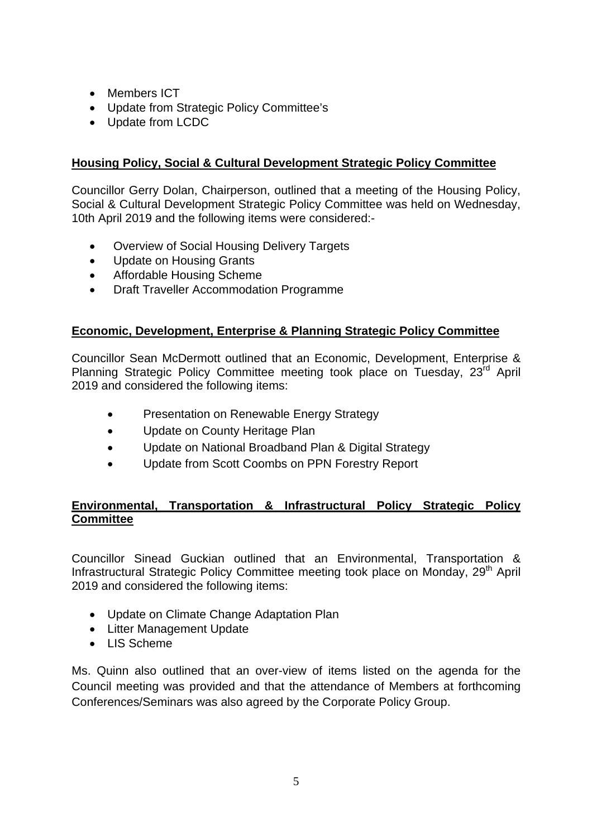- Members ICT
- Update from Strategic Policy Committee's
- Update from LCDC

## **Housing Policy, Social & Cultural Development Strategic Policy Committee**

Councillor Gerry Dolan, Chairperson, outlined that a meeting of the Housing Policy, Social & Cultural Development Strategic Policy Committee was held on Wednesday, 10th April 2019 and the following items were considered:-

- Overview of Social Housing Delivery Targets
- Update on Housing Grants
- Affordable Housing Scheme
- Draft Traveller Accommodation Programme

## **Economic, Development, Enterprise & Planning Strategic Policy Committee**

Councillor Sean McDermott outlined that an Economic, Development, Enterprise & Planning Strategic Policy Committee meeting took place on Tuesday, 23<sup>rd</sup> April 2019 and considered the following items:

- Presentation on Renewable Energy Strategy
- Update on County Heritage Plan
- Update on National Broadband Plan & Digital Strategy
- Update from Scott Coombs on PPN Forestry Report

## **Environmental, Transportation & Infrastructural Policy Strategic Policy Committee**

Councillor Sinead Guckian outlined that an Environmental, Transportation & Infrastructural Strategic Policy Committee meeting took place on Monday, 29<sup>th</sup> April 2019 and considered the following items:

- Update on Climate Change Adaptation Plan
- Litter Management Update
- LIS Scheme

Ms. Quinn also outlined that an over-view of items listed on the agenda for the Council meeting was provided and that the attendance of Members at forthcoming Conferences/Seminars was also agreed by the Corporate Policy Group.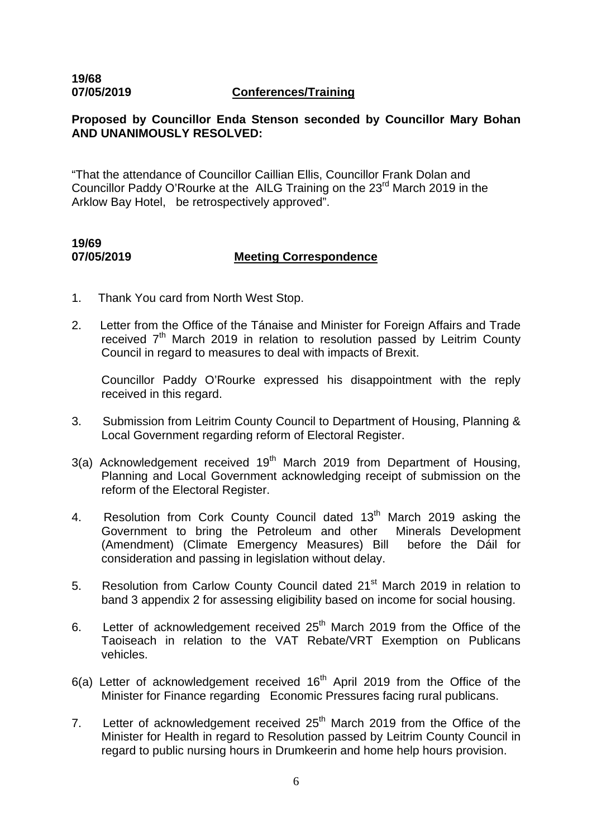## **19/68**

#### **07/05/2019 Conferences/Training**

## **Proposed by Councillor Enda Stenson seconded by Councillor Mary Bohan AND UNANIMOUSLY RESOLVED:**

"That the attendance of Councillor Caillian Ellis, Councillor Frank Dolan and Councillor Paddy O'Rourke at the AILG Training on the 23<sup>rd</sup> March 2019 in the Arklow Bay Hotel, be retrospectively approved".

## **19/69 07/05/2019 Meeting Correspondence**

- 1. Thank You card from North West Stop.
- 2. Letter from the Office of the Tánaise and Minister for Foreign Affairs and Trade received  $7<sup>th</sup>$  March 2019 in relation to resolution passed by Leitrim County Council in regard to measures to deal with impacts of Brexit.

Councillor Paddy O'Rourke expressed his disappointment with the reply received in this regard.

- 3. Submission from Leitrim County Council to Department of Housing, Planning & Local Government regarding reform of Electoral Register.
- 3(a) Acknowledgement received  $19<sup>th</sup>$  March 2019 from Department of Housing, Planning and Local Government acknowledging receipt of submission on the reform of the Electoral Register.
- 4. Resolution from Cork County Council dated 13<sup>th</sup> March 2019 asking the Government to bring the Petroleum and other Minerals Development (Amendment) (Climate Emergency Measures) Bill before the Dáil for consideration and passing in legislation without delay.
- 5. Resolution from Carlow County Council dated 21<sup>st</sup> March 2019 in relation to band 3 appendix 2 for assessing eligibility based on income for social housing.
- 6. Letter of acknowledgement received  $25<sup>th</sup>$  March 2019 from the Office of the Taoiseach in relation to the VAT Rebate/VRT Exemption on Publicans vehicles.
- $6(a)$  Letter of acknowledgement received  $16<sup>th</sup>$  April 2019 from the Office of the Minister for Finance regarding Economic Pressures facing rural publicans.
- 7. Letter of acknowledgement received  $25<sup>th</sup>$  March 2019 from the Office of the Minister for Health in regard to Resolution passed by Leitrim County Council in regard to public nursing hours in Drumkeerin and home help hours provision.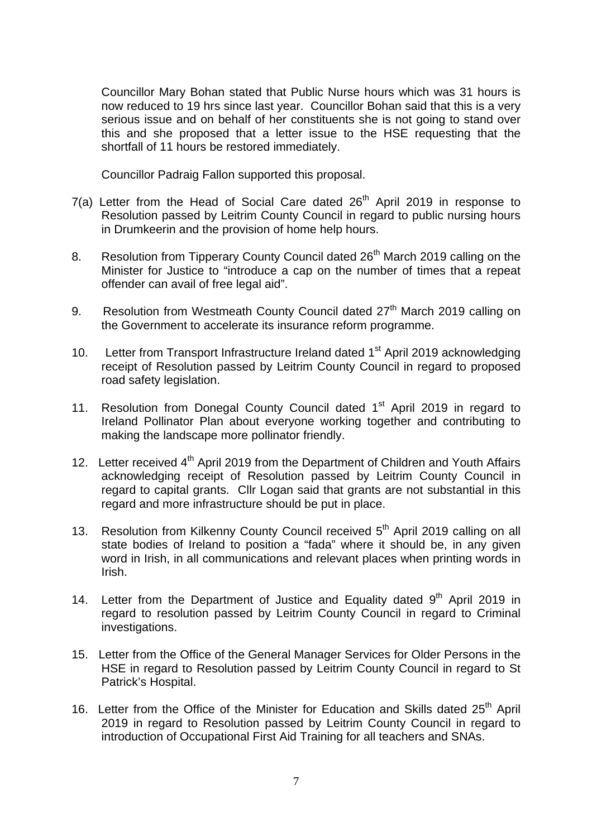Councillor Mary Bohan stated that Public Nurse hours which was 31 hours is now reduced to 19 hrs since last year. Councillor Bohan said that this is a very serious issue and on behalf of her constituents she is not going to stand over this and she proposed that a letter issue to the HSE requesting that the shortfall of 11 hours be restored immediately.

Councillor Padraig Fallon supported this proposal.

- 7(a) Letter from the Head of Social Care dated  $26<sup>th</sup>$  April 2019 in response to Resolution passed by Leitrim County Council in regard to public nursing hours in Drumkeerin and the provision of home help hours.
- 8. Resolution from Tipperary County Council dated 26<sup>th</sup> March 2019 calling on the Minister for Justice to "introduce a cap on the number of times that a repeat offender can avail of free legal aid".
- 9. Resolution from Westmeath County Council dated 27<sup>th</sup> March 2019 calling on the Government to accelerate its insurance reform programme.
- 10. Letter from Transport Infrastructure Ireland dated 1<sup>st</sup> April 2019 acknowledging receipt of Resolution passed by Leitrim County Council in regard to proposed road safety legislation.
- 11. Resolution from Donegal County Council dated 1<sup>st</sup> April 2019 in regard to Ireland Pollinator Plan about everyone working together and contributing to making the landscape more pollinator friendly.
- 12. Letter received 4<sup>th</sup> April 2019 from the Department of Children and Youth Affairs acknowledging receipt of Resolution passed by Leitrim County Council in regard to capital grants. Cllr Logan said that grants are not substantial in this regard and more infrastructure should be put in place.
- 13. Resolution from Kilkenny County Council received 5<sup>th</sup> April 2019 calling on all state bodies of Ireland to position a "fada" where it should be, in any given word in Irish, in all communications and relevant places when printing words in Irish.
- 14. Letter from the Department of Justice and Equality dated  $9<sup>th</sup>$  April 2019 in regard to resolution passed by Leitrim County Council in regard to Criminal investigations.
- 15. Letter from the Office of the General Manager Services for Older Persons in the HSE in regard to Resolution passed by Leitrim County Council in regard to St Patrick's Hospital.
- 16. Letter from the Office of the Minister for Education and Skills dated 25<sup>th</sup> April 2019 in regard to Resolution passed by Leitrim County Council in regard to introduction of Occupational First Aid Training for all teachers and SNAs.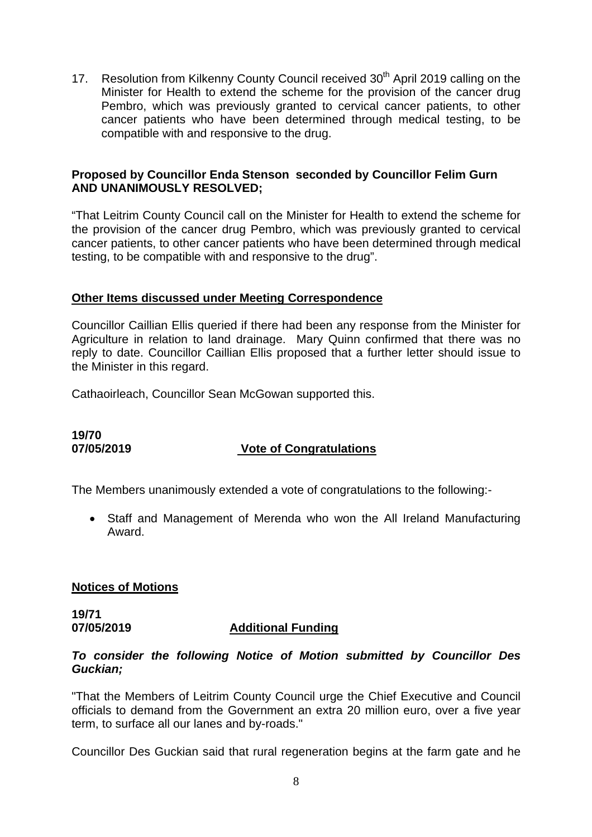17. Resolution from Kilkenny County Council received 30<sup>th</sup> April 2019 calling on the Minister for Health to extend the scheme for the provision of the cancer drug Pembro, which was previously granted to cervical cancer patients, to other cancer patients who have been determined through medical testing, to be compatible with and responsive to the drug.

## **Proposed by Councillor Enda Stenson seconded by Councillor Felim Gurn AND UNANIMOUSLY RESOLVED;**

"That Leitrim County Council call on the Minister for Health to extend the scheme for the provision of the cancer drug Pembro, which was previously granted to cervical cancer patients, to other cancer patients who have been determined through medical testing, to be compatible with and responsive to the drug".

## **Other Items discussed under Meeting Correspondence**

Councillor Caillian Ellis queried if there had been any response from the Minister for Agriculture in relation to land drainage. Mary Quinn confirmed that there was no reply to date. Councillor Caillian Ellis proposed that a further letter should issue to the Minister in this regard.

Cathaoirleach, Councillor Sean McGowan supported this.

# **19/70**

## **07/05/2019 Vote of Congratulations**

The Members unanimously extended a vote of congratulations to the following:-

• Staff and Management of Merenda who won the All Ireland Manufacturing Award.

## **Notices of Motions**

**19/71 07/05/2019 Additional Funding**

#### *To consider the following Notice of Motion submitted by Councillor Des Guckian;*

"That the Members of Leitrim County Council urge the Chief Executive and Council officials to demand from the Government an extra 20 million euro, over a five year term, to surface all our lanes and by-roads."

Councillor Des Guckian said that rural regeneration begins at the farm gate and he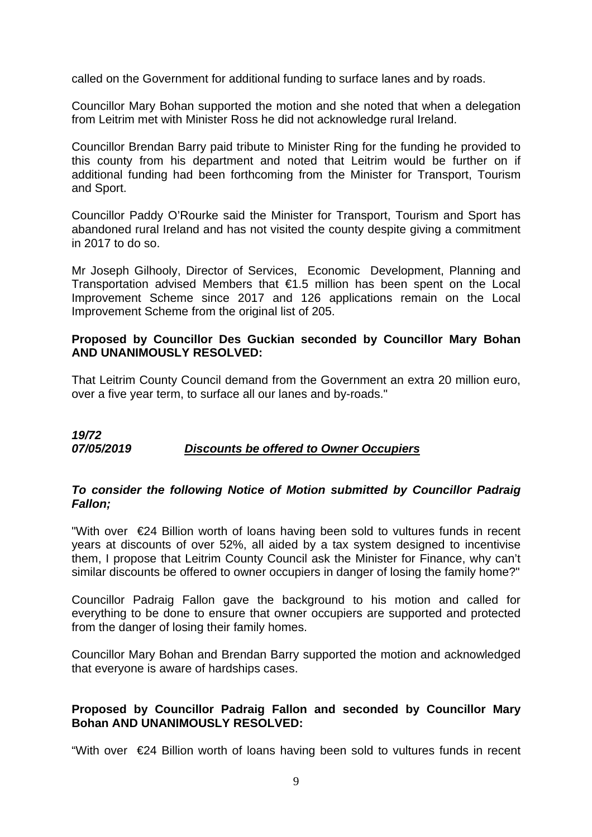called on the Government for additional funding to surface lanes and by roads.

Councillor Mary Bohan supported the motion and she noted that when a delegation from Leitrim met with Minister Ross he did not acknowledge rural Ireland.

Councillor Brendan Barry paid tribute to Minister Ring for the funding he provided to this county from his department and noted that Leitrim would be further on if additional funding had been forthcoming from the Minister for Transport, Tourism and Sport.

Councillor Paddy O'Rourke said the Minister for Transport, Tourism and Sport has abandoned rural Ireland and has not visited the county despite giving a commitment in 2017 to do so.

Mr Joseph Gilhooly, Director of Services, Economic Development, Planning and Transportation advised Members that €1.5 million has been spent on the Local Improvement Scheme since 2017 and 126 applications remain on the Local Improvement Scheme from the original list of 205.

## **Proposed by Councillor Des Guckian seconded by Councillor Mary Bohan AND UNANIMOUSLY RESOLVED:**

That Leitrim County Council demand from the Government an extra 20 million euro, over a five year term, to surface all our lanes and by-roads."

## *19/72 07/05/2019 Discounts be offered to Owner Occupiers*

#### *To consider the following Notice of Motion submitted by Councillor Padraig Fallon;*

"With over €24 Billion worth of loans having been sold to vultures funds in recent years at discounts of over 52%, all aided by a tax system designed to incentivise them, I propose that Leitrim County Council ask the Minister for Finance, why can't similar discounts be offered to owner occupiers in danger of losing the family home?"

Councillor Padraig Fallon gave the background to his motion and called for everything to be done to ensure that owner occupiers are supported and protected from the danger of losing their family homes.

Councillor Mary Bohan and Brendan Barry supported the motion and acknowledged that everyone is aware of hardships cases.

## **Proposed by Councillor Padraig Fallon and seconded by Councillor Mary Bohan AND UNANIMOUSLY RESOLVED:**

"With over €24 Billion worth of loans having been sold to vultures funds in recent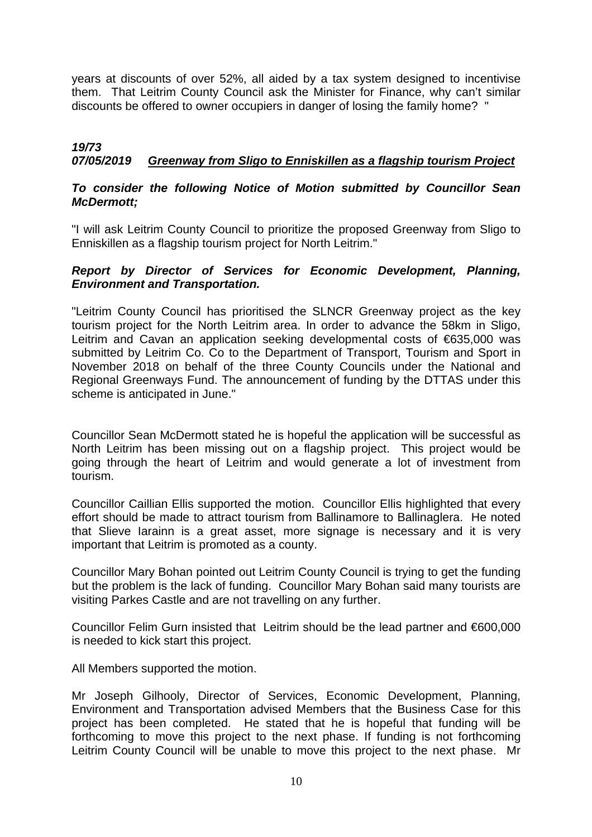years at discounts of over 52%, all aided by a tax system designed to incentivise them. That Leitrim County Council ask the Minister for Finance, why can't similar discounts be offered to owner occupiers in danger of losing the family home? "

## *19/73 07/05/2019 Greenway from Sligo to Enniskillen as a flagship tourism Project*

## *To consider the following Notice of Motion submitted by Councillor Sean McDermott;*

"I will ask Leitrim County Council to prioritize the proposed Greenway from Sligo to Enniskillen as a flagship tourism project for North Leitrim."

## *Report by Director of Services for Economic Development, Planning, Environment and Transportation.*

"Leitrim County Council has prioritised the SLNCR Greenway project as the key tourism project for the North Leitrim area. In order to advance the 58km in Sligo, Leitrim and Cavan an application seeking developmental costs of €635,000 was submitted by Leitrim Co. Co to the Department of Transport, Tourism and Sport in November 2018 on behalf of the three County Councils under the National and Regional Greenways Fund. The announcement of funding by the DTTAS under this scheme is anticipated in June."

Councillor Sean McDermott stated he is hopeful the application will be successful as North Leitrim has been missing out on a flagship project. This project would be going through the heart of Leitrim and would generate a lot of investment from tourism.

Councillor Caillian Ellis supported the motion. Councillor Ellis highlighted that every effort should be made to attract tourism from Ballinamore to Ballinaglera. He noted that Slieve Iarainn is a great asset, more signage is necessary and it is very important that Leitrim is promoted as a county.

Councillor Mary Bohan pointed out Leitrim County Council is trying to get the funding but the problem is the lack of funding. Councillor Mary Bohan said many tourists are visiting Parkes Castle and are not travelling on any further.

Councillor Felim Gurn insisted that Leitrim should be the lead partner and €600,000 is needed to kick start this project.

All Members supported the motion.

Mr Joseph Gilhooly, Director of Services, Economic Development, Planning, Environment and Transportation advised Members that the Business Case for this project has been completed. He stated that he is hopeful that funding will be forthcoming to move this project to the next phase. If funding is not forthcoming Leitrim County Council will be unable to move this project to the next phase. Mr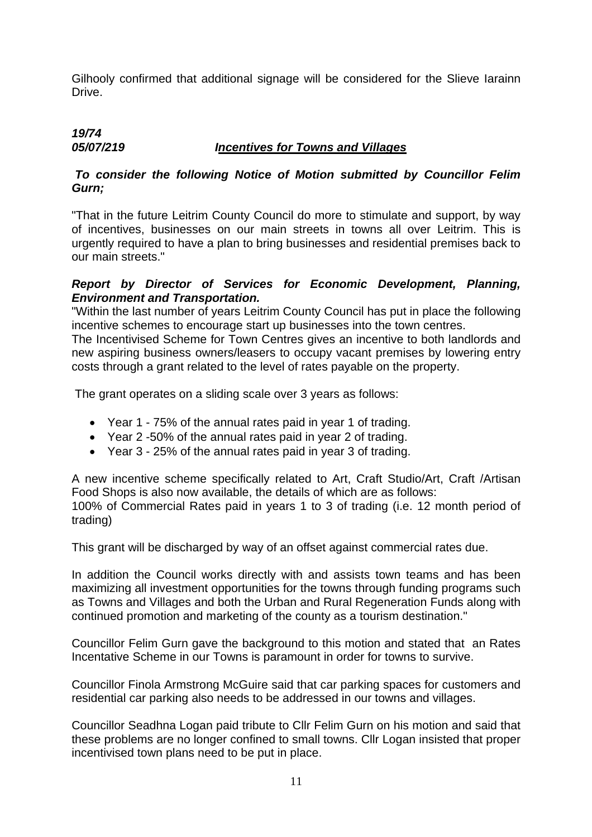Gilhooly confirmed that additional signage will be considered for the Slieve Iarainn Drive.

## *19/74 05/07/219 Incentives for Towns and Villages*

## *To consider the following Notice of Motion submitted by Councillor Felim Gurn;*

"That in the future Leitrim County Council do more to stimulate and support, by way of incentives, businesses on our main streets in towns all over Leitrim. This is urgently required to have a plan to bring businesses and residential premises back to our main streets."

## *Report by Director of Services for Economic Development, Planning, Environment and Transportation.*

"Within the last number of years Leitrim County Council has put in place the following incentive schemes to encourage start up businesses into the town centres.

The Incentivised Scheme for Town Centres gives an incentive to both landlords and new aspiring business owners/leasers to occupy vacant premises by lowering entry costs through a grant related to the level of rates payable on the property.

The grant operates on a sliding scale over 3 years as follows:

- Year 1 75% of the annual rates paid in year 1 of trading.
- Year 2 -50% of the annual rates paid in year 2 of trading.
- Year 3 25% of the annual rates paid in year 3 of trading.

A new incentive scheme specifically related to Art, Craft Studio/Art, Craft /Artisan Food Shops is also now available, the details of which are as follows:

100% of Commercial Rates paid in years 1 to 3 of trading (i.e. 12 month period of trading)

This grant will be discharged by way of an offset against commercial rates due.

In addition the Council works directly with and assists town teams and has been maximizing all investment opportunities for the towns through funding programs such as Towns and Villages and both the Urban and Rural Regeneration Funds along with continued promotion and marketing of the county as a tourism destination."

Councillor Felim Gurn gave the background to this motion and stated that an Rates Incentative Scheme in our Towns is paramount in order for towns to survive.

Councillor Finola Armstrong McGuire said that car parking spaces for customers and residential car parking also needs to be addressed in our towns and villages.

Councillor Seadhna Logan paid tribute to Cllr Felim Gurn on his motion and said that these problems are no longer confined to small towns. Cllr Logan insisted that proper incentivised town plans need to be put in place.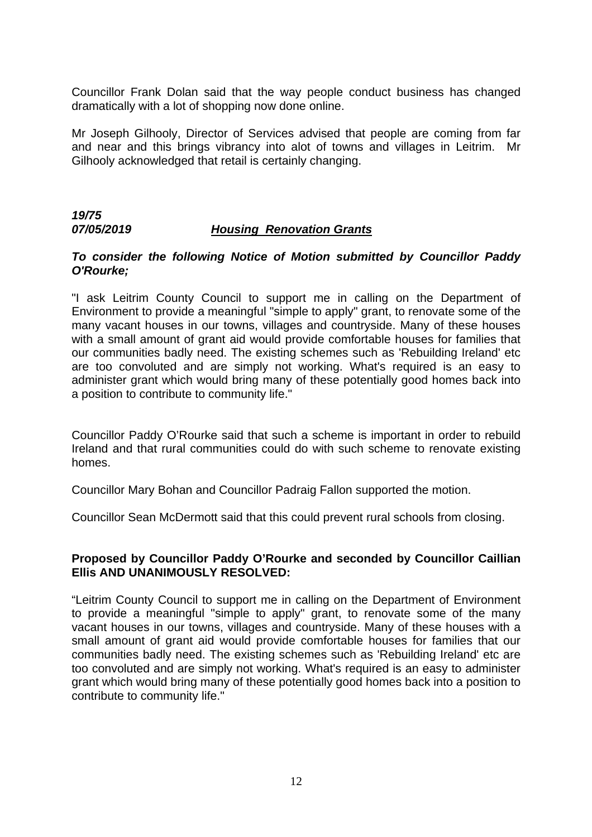Councillor Frank Dolan said that the way people conduct business has changed dramatically with a lot of shopping now done online.

Mr Joseph Gilhooly, Director of Services advised that people are coming from far and near and this brings vibrancy into alot of towns and villages in Leitrim. Mr Gilhooly acknowledged that retail is certainly changing.

## *19/75 07/05/2019 Housing Renovation Grants*

## *To consider the following Notice of Motion submitted by Councillor Paddy O'Rourke;*

"I ask Leitrim County Council to support me in calling on the Department of Environment to provide a meaningful "simple to apply" grant, to renovate some of the many vacant houses in our towns, villages and countryside. Many of these houses with a small amount of grant aid would provide comfortable houses for families that our communities badly need. The existing schemes such as 'Rebuilding Ireland' etc are too convoluted and are simply not working. What's required is an easy to administer grant which would bring many of these potentially good homes back into a position to contribute to community life."

Councillor Paddy O'Rourke said that such a scheme is important in order to rebuild Ireland and that rural communities could do with such scheme to renovate existing homes.

Councillor Mary Bohan and Councillor Padraig Fallon supported the motion.

Councillor Sean McDermott said that this could prevent rural schools from closing.

## **Proposed by Councillor Paddy O'Rourke and seconded by Councillor Caillian Ellis AND UNANIMOUSLY RESOLVED:**

"Leitrim County Council to support me in calling on the Department of Environment to provide a meaningful "simple to apply" grant, to renovate some of the many vacant houses in our towns, villages and countryside. Many of these houses with a small amount of grant aid would provide comfortable houses for families that our communities badly need. The existing schemes such as 'Rebuilding Ireland' etc are too convoluted and are simply not working. What's required is an easy to administer grant which would bring many of these potentially good homes back into a position to contribute to community life."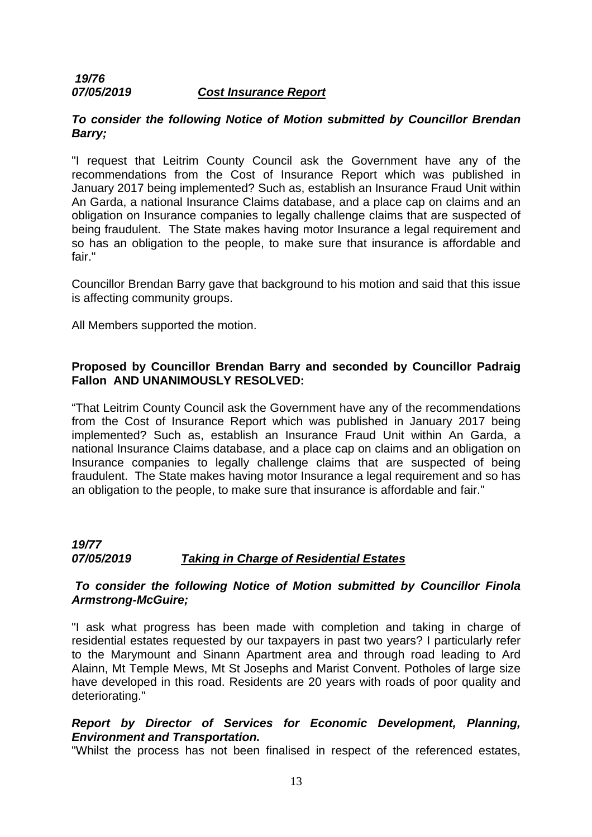## *19/76 07/05/2019 Cost Insurance Report*

## *To consider the following Notice of Motion submitted by Councillor Brendan Barry;*

"I request that Leitrim County Council ask the Government have any of the recommendations from the Cost of Insurance Report which was published in January 2017 being implemented? Such as, establish an Insurance Fraud Unit within An Garda, a national Insurance Claims database, and a place cap on claims and an obligation on Insurance companies to legally challenge claims that are suspected of being fraudulent. The State makes having motor Insurance a legal requirement and so has an obligation to the people, to make sure that insurance is affordable and fair."

Councillor Brendan Barry gave that background to his motion and said that this issue is affecting community groups.

All Members supported the motion.

## **Proposed by Councillor Brendan Barry and seconded by Councillor Padraig Fallon AND UNANIMOUSLY RESOLVED:**

"That Leitrim County Council ask the Government have any of the recommendations from the Cost of Insurance Report which was published in January 2017 being implemented? Such as, establish an Insurance Fraud Unit within An Garda, a national Insurance Claims database, and a place cap on claims and an obligation on Insurance companies to legally challenge claims that are suspected of being fraudulent. The State makes having motor Insurance a legal requirement and so has an obligation to the people, to make sure that insurance is affordable and fair."

## *19/77 07/05/2019 Taking in Charge of Residential Estates*

## *To consider the following Notice of Motion submitted by Councillor Finola Armstrong-McGuire;*

"I ask what progress has been made with completion and taking in charge of residential estates requested by our taxpayers in past two years? I particularly refer to the Marymount and Sinann Apartment area and through road leading to Ard Alainn, Mt Temple Mews, Mt St Josephs and Marist Convent. Potholes of large size have developed in this road. Residents are 20 years with roads of poor quality and deteriorating."

## *Report by Director of Services for Economic Development, Planning, Environment and Transportation.*

"Whilst the process has not been finalised in respect of the referenced estates,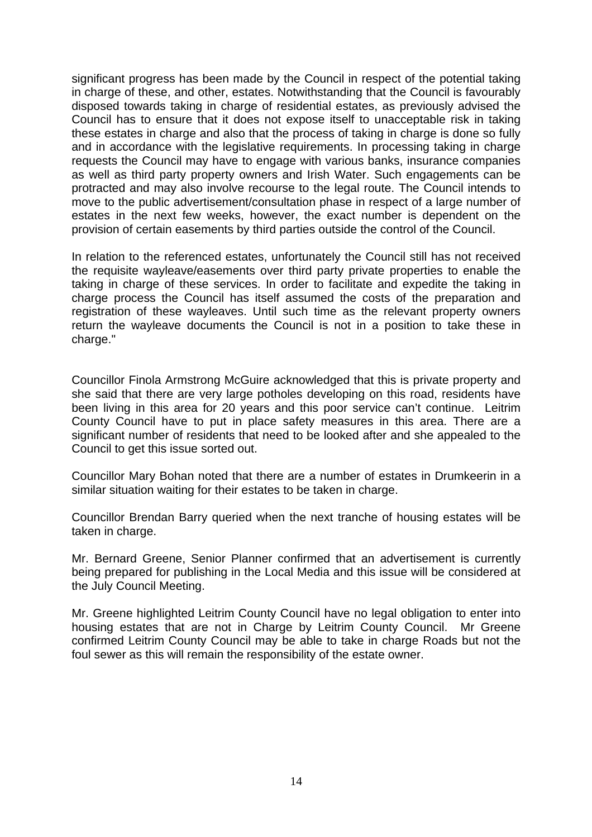significant progress has been made by the Council in respect of the potential taking in charge of these, and other, estates. Notwithstanding that the Council is favourably disposed towards taking in charge of residential estates, as previously advised the Council has to ensure that it does not expose itself to unacceptable risk in taking these estates in charge and also that the process of taking in charge is done so fully and in accordance with the legislative requirements. In processing taking in charge requests the Council may have to engage with various banks, insurance companies as well as third party property owners and Irish Water. Such engagements can be protracted and may also involve recourse to the legal route. The Council intends to move to the public advertisement/consultation phase in respect of a large number of estates in the next few weeks, however, the exact number is dependent on the provision of certain easements by third parties outside the control of the Council.

In relation to the referenced estates, unfortunately the Council still has not received the requisite wayleave/easements over third party private properties to enable the taking in charge of these services. In order to facilitate and expedite the taking in charge process the Council has itself assumed the costs of the preparation and registration of these wayleaves. Until such time as the relevant property owners return the wayleave documents the Council is not in a position to take these in charge."

Councillor Finola Armstrong McGuire acknowledged that this is private property and she said that there are very large potholes developing on this road, residents have been living in this area for 20 years and this poor service can't continue. Leitrim County Council have to put in place safety measures in this area. There are a significant number of residents that need to be looked after and she appealed to the Council to get this issue sorted out.

Councillor Mary Bohan noted that there are a number of estates in Drumkeerin in a similar situation waiting for their estates to be taken in charge.

Councillor Brendan Barry queried when the next tranche of housing estates will be taken in charge.

Mr. Bernard Greene, Senior Planner confirmed that an advertisement is currently being prepared for publishing in the Local Media and this issue will be considered at the July Council Meeting.

Mr. Greene highlighted Leitrim County Council have no legal obligation to enter into housing estates that are not in Charge by Leitrim County Council. Mr Greene confirmed Leitrim County Council may be able to take in charge Roads but not the foul sewer as this will remain the responsibility of the estate owner.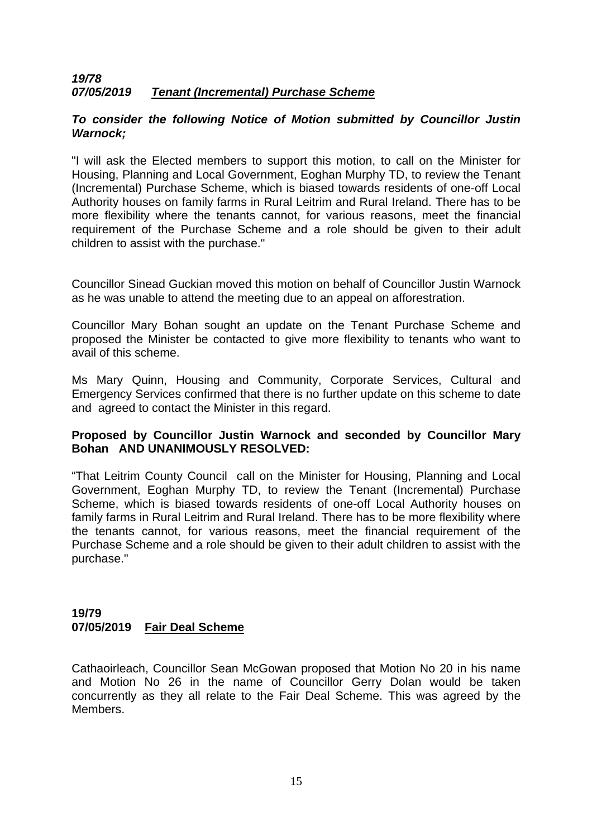## *19/78 07/05/2019 Tenant (Incremental) Purchase Scheme*

## *To consider the following Notice of Motion submitted by Councillor Justin Warnock;*

"I will ask the Elected members to support this motion, to call on the Minister for Housing, Planning and Local Government, Eoghan Murphy TD, to review the Tenant (Incremental) Purchase Scheme, which is biased towards residents of one-off Local Authority houses on family farms in Rural Leitrim and Rural Ireland. There has to be more flexibility where the tenants cannot, for various reasons, meet the financial requirement of the Purchase Scheme and a role should be given to their adult children to assist with the purchase."

Councillor Sinead Guckian moved this motion on behalf of Councillor Justin Warnock as he was unable to attend the meeting due to an appeal on afforestration.

Councillor Mary Bohan sought an update on the Tenant Purchase Scheme and proposed the Minister be contacted to give more flexibility to tenants who want to avail of this scheme.

Ms Mary Quinn, Housing and Community, Corporate Services, Cultural and Emergency Services confirmed that there is no further update on this scheme to date and agreed to contact the Minister in this regard.

## **Proposed by Councillor Justin Warnock and seconded by Councillor Mary Bohan AND UNANIMOUSLY RESOLVED:**

"That Leitrim County Council call on the Minister for Housing, Planning and Local Government, Eoghan Murphy TD, to review the Tenant (Incremental) Purchase Scheme, which is biased towards residents of one-off Local Authority houses on family farms in Rural Leitrim and Rural Ireland. There has to be more flexibility where the tenants cannot, for various reasons, meet the financial requirement of the Purchase Scheme and a role should be given to their adult children to assist with the purchase."

## **19/79 07/05/2019 Fair Deal Scheme**

Cathaoirleach, Councillor Sean McGowan proposed that Motion No 20 in his name and Motion No 26 in the name of Councillor Gerry Dolan would be taken concurrently as they all relate to the Fair Deal Scheme. This was agreed by the Members.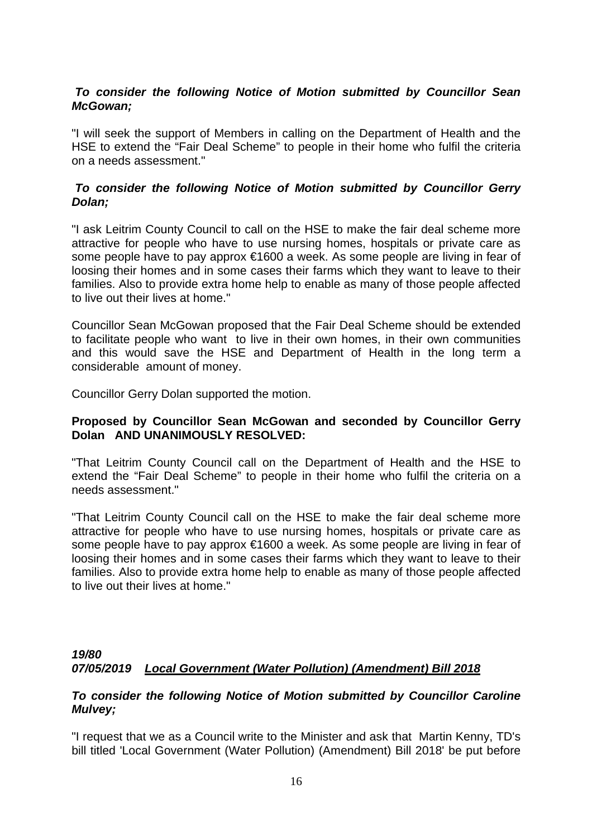## *To consider the following Notice of Motion submitted by Councillor Sean McGowan;*

"I will seek the support of Members in calling on the Department of Health and the HSE to extend the "Fair Deal Scheme" to people in their home who fulfil the criteria on a needs assessment."

## *To consider the following Notice of Motion submitted by Councillor Gerry Dolan;*

"I ask Leitrim County Council to call on the HSE to make the fair deal scheme more attractive for people who have to use nursing homes, hospitals or private care as some people have to pay approx €1600 a week. As some people are living in fear of loosing their homes and in some cases their farms which they want to leave to their families. Also to provide extra home help to enable as many of those people affected to live out their lives at home."

Councillor Sean McGowan proposed that the Fair Deal Scheme should be extended to facilitate people who want to live in their own homes, in their own communities and this would save the HSE and Department of Health in the long term a considerable amount of money.

Councillor Gerry Dolan supported the motion.

## **Proposed by Councillor Sean McGowan and seconded by Councillor Gerry Dolan AND UNANIMOUSLY RESOLVED:**

"That Leitrim County Council call on the Department of Health and the HSE to extend the "Fair Deal Scheme" to people in their home who fulfil the criteria on a needs assessment."

"That Leitrim County Council call on the HSE to make the fair deal scheme more attractive for people who have to use nursing homes, hospitals or private care as some people have to pay approx €1600 a week. As some people are living in fear of loosing their homes and in some cases their farms which they want to leave to their families. Also to provide extra home help to enable as many of those people affected to live out their lives at home."

## *19/80 07/05/2019 Local Government (Water Pollution) (Amendment) Bill 2018*

## *To consider the following Notice of Motion submitted by Councillor Caroline Mulvey;*

"I request that we as a Council write to the Minister and ask that Martin Kenny, TD's bill titled 'Local Government (Water Pollution) (Amendment) Bill 2018' be put before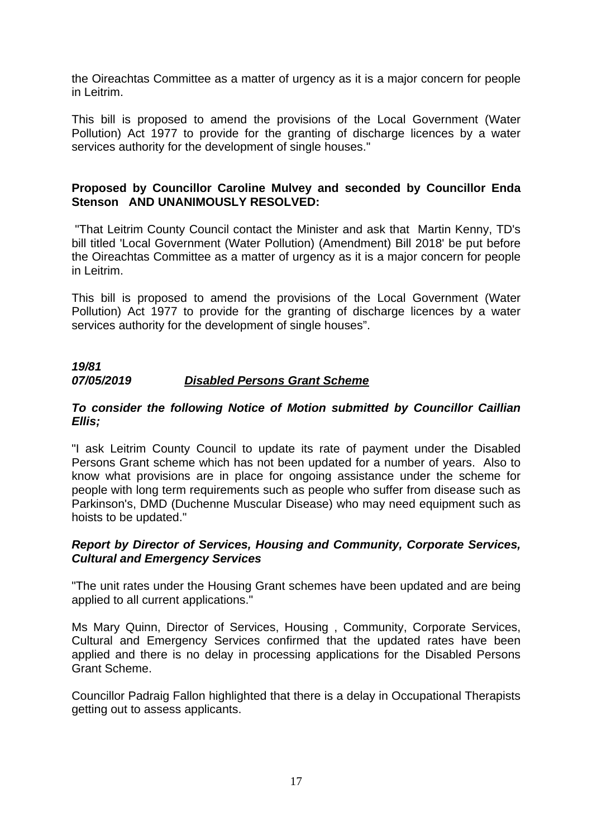the Oireachtas Committee as a matter of urgency as it is a major concern for people in Leitrim.

This bill is proposed to amend the provisions of the Local Government (Water Pollution) Act 1977 to provide for the granting of discharge licences by a water services authority for the development of single houses."

## **Proposed by Councillor Caroline Mulvey and seconded by Councillor Enda Stenson AND UNANIMOUSLY RESOLVED:**

 "That Leitrim County Council contact the Minister and ask that Martin Kenny, TD's bill titled 'Local Government (Water Pollution) (Amendment) Bill 2018' be put before the Oireachtas Committee as a matter of urgency as it is a major concern for people in Leitrim.

This bill is proposed to amend the provisions of the Local Government (Water Pollution) Act 1977 to provide for the granting of discharge licences by a water services authority for the development of single houses".

## *19/81 07/05/2019 Disabled Persons Grant Scheme*

## *To consider the following Notice of Motion submitted by Councillor Caillian Ellis;*

"I ask Leitrim County Council to update its rate of payment under the Disabled Persons Grant scheme which has not been updated for a number of years. Also to know what provisions are in place for ongoing assistance under the scheme for people with long term requirements such as people who suffer from disease such as Parkinson's, DMD (Duchenne Muscular Disease) who may need equipment such as hoists to be updated."

## *Report by Director of Services, Housing and Community, Corporate Services, Cultural and Emergency Services*

"The unit rates under the Housing Grant schemes have been updated and are being applied to all current applications."

Ms Mary Quinn, Director of Services, Housing , Community, Corporate Services, Cultural and Emergency Services confirmed that the updated rates have been applied and there is no delay in processing applications for the Disabled Persons Grant Scheme.

Councillor Padraig Fallon highlighted that there is a delay in Occupational Therapists getting out to assess applicants.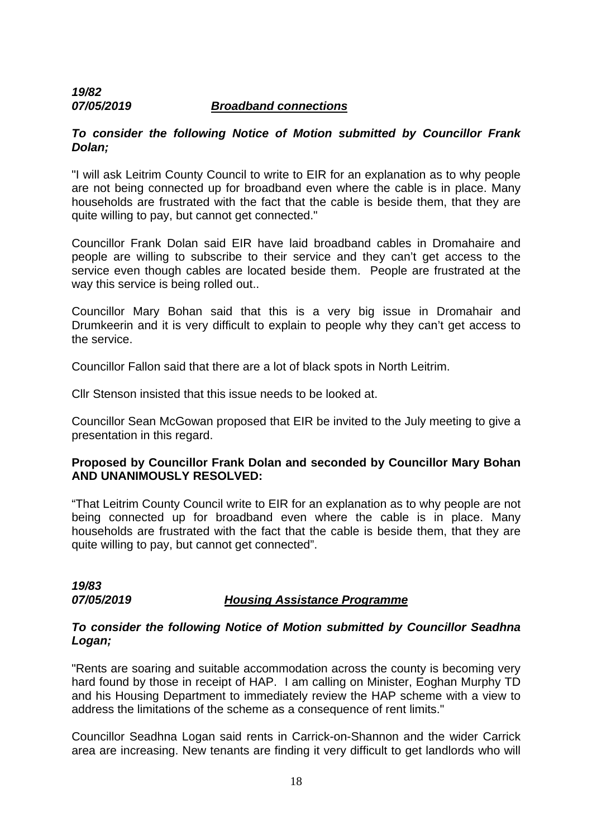## *19/82 07/05/2019 Broadband connections*

## *To consider the following Notice of Motion submitted by Councillor Frank Dolan;*

"I will ask Leitrim County Council to write to EIR for an explanation as to why people are not being connected up for broadband even where the cable is in place. Many households are frustrated with the fact that the cable is beside them, that they are quite willing to pay, but cannot get connected."

Councillor Frank Dolan said EIR have laid broadband cables in Dromahaire and people are willing to subscribe to their service and they can't get access to the service even though cables are located beside them. People are frustrated at the way this service is being rolled out..

Councillor Mary Bohan said that this is a very big issue in Dromahair and Drumkeerin and it is very difficult to explain to people why they can't get access to the service.

Councillor Fallon said that there are a lot of black spots in North Leitrim.

Cllr Stenson insisted that this issue needs to be looked at.

Councillor Sean McGowan proposed that EIR be invited to the July meeting to give a presentation in this regard.

## **Proposed by Councillor Frank Dolan and seconded by Councillor Mary Bohan AND UNANIMOUSLY RESOLVED:**

"That Leitrim County Council write to EIR for an explanation as to why people are not being connected up for broadband even where the cable is in place. Many households are frustrated with the fact that the cable is beside them, that they are quite willing to pay, but cannot get connected".

*19/83* 

## *07/05/2019 Housing Assistance Programme*

#### *To consider the following Notice of Motion submitted by Councillor Seadhna Logan;*

"Rents are soaring and suitable accommodation across the county is becoming very hard found by those in receipt of HAP. I am calling on Minister, Eoghan Murphy TD and his Housing Department to immediately review the HAP scheme with a view to address the limitations of the scheme as a consequence of rent limits."

Councillor Seadhna Logan said rents in Carrick-on-Shannon and the wider Carrick area are increasing. New tenants are finding it very difficult to get landlords who will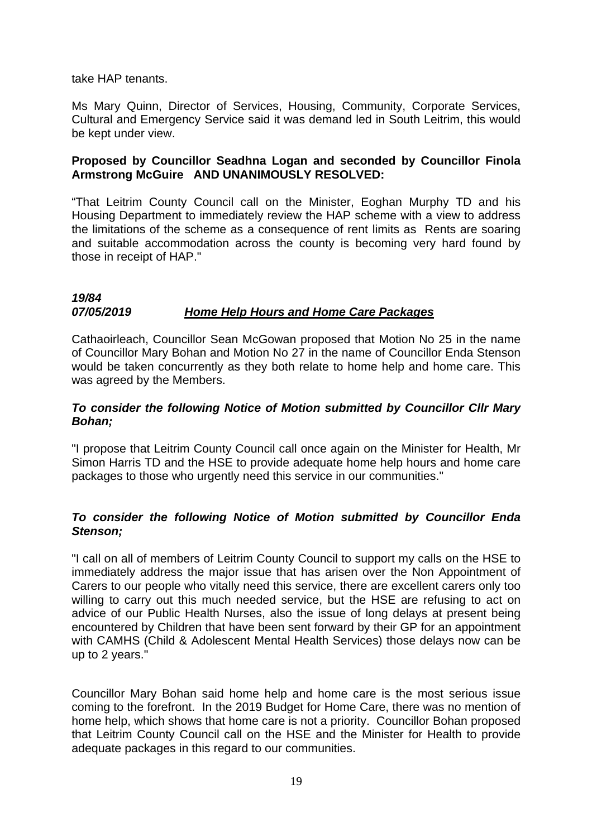take HAP tenants.

Ms Mary Quinn, Director of Services, Housing, Community, Corporate Services, Cultural and Emergency Service said it was demand led in South Leitrim, this would be kept under view.

## **Proposed by Councillor Seadhna Logan and seconded by Councillor Finola Armstrong McGuire AND UNANIMOUSLY RESOLVED:**

"That Leitrim County Council call on the Minister, Eoghan Murphy TD and his Housing Department to immediately review the HAP scheme with a view to address the limitations of the scheme as a consequence of rent limits as Rents are soaring and suitable accommodation across the county is becoming very hard found by those in receipt of HAP."

#### *19/84 07/05/2019 Home Help Hours and Home Care Packages*

Cathaoirleach, Councillor Sean McGowan proposed that Motion No 25 in the name of Councillor Mary Bohan and Motion No 27 in the name of Councillor Enda Stenson would be taken concurrently as they both relate to home help and home care. This was agreed by the Members.

## *To consider the following Notice of Motion submitted by Councillor Cllr Mary Bohan;*

"I propose that Leitrim County Council call once again on the Minister for Health, Mr Simon Harris TD and the HSE to provide adequate home help hours and home care packages to those who urgently need this service in our communities."

## *To consider the following Notice of Motion submitted by Councillor Enda Stenson;*

"I call on all of members of Leitrim County Council to support my calls on the HSE to immediately address the major issue that has arisen over the Non Appointment of Carers to our people who vitally need this service, there are excellent carers only too willing to carry out this much needed service, but the HSE are refusing to act on advice of our Public Health Nurses, also the issue of long delays at present being encountered by Children that have been sent forward by their GP for an appointment with CAMHS (Child & Adolescent Mental Health Services) those delays now can be up to 2 years."

Councillor Mary Bohan said home help and home care is the most serious issue coming to the forefront. In the 2019 Budget for Home Care, there was no mention of home help, which shows that home care is not a priority. Councillor Bohan proposed that Leitrim County Council call on the HSE and the Minister for Health to provide adequate packages in this regard to our communities.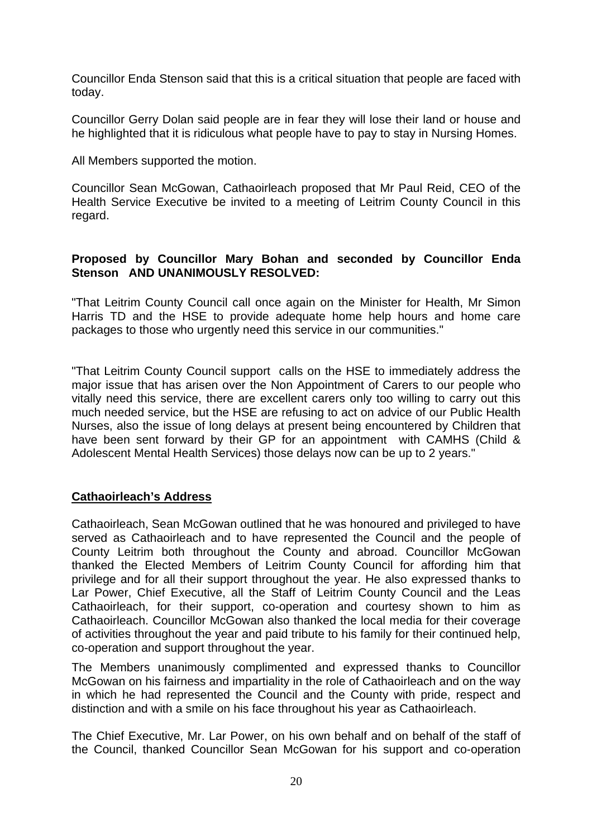Councillor Enda Stenson said that this is a critical situation that people are faced with today.

Councillor Gerry Dolan said people are in fear they will lose their land or house and he highlighted that it is ridiculous what people have to pay to stay in Nursing Homes.

All Members supported the motion.

Councillor Sean McGowan, Cathaoirleach proposed that Mr Paul Reid, CEO of the Health Service Executive be invited to a meeting of Leitrim County Council in this regard.

## **Proposed by Councillor Mary Bohan and seconded by Councillor Enda Stenson AND UNANIMOUSLY RESOLVED:**

"That Leitrim County Council call once again on the Minister for Health, Mr Simon Harris TD and the HSE to provide adequate home help hours and home care packages to those who urgently need this service in our communities."

"That Leitrim County Council support calls on the HSE to immediately address the major issue that has arisen over the Non Appointment of Carers to our people who vitally need this service, there are excellent carers only too willing to carry out this much needed service, but the HSE are refusing to act on advice of our Public Health Nurses, also the issue of long delays at present being encountered by Children that have been sent forward by their GP for an appointment with CAMHS (Child & Adolescent Mental Health Services) those delays now can be up to 2 years."

## **Cathaoirleach's Address**

Cathaoirleach, Sean McGowan outlined that he was honoured and privileged to have served as Cathaoirleach and to have represented the Council and the people of County Leitrim both throughout the County and abroad. Councillor McGowan thanked the Elected Members of Leitrim County Council for affording him that privilege and for all their support throughout the year. He also expressed thanks to Lar Power, Chief Executive, all the Staff of Leitrim County Council and the Leas Cathaoirleach, for their support, co-operation and courtesy shown to him as Cathaoirleach. Councillor McGowan also thanked the local media for their coverage of activities throughout the year and paid tribute to his family for their continued help, co-operation and support throughout the year.

The Members unanimously complimented and expressed thanks to Councillor McGowan on his fairness and impartiality in the role of Cathaoirleach and on the way in which he had represented the Council and the County with pride, respect and distinction and with a smile on his face throughout his year as Cathaoirleach.

The Chief Executive, Mr. Lar Power, on his own behalf and on behalf of the staff of the Council, thanked Councillor Sean McGowan for his support and co-operation